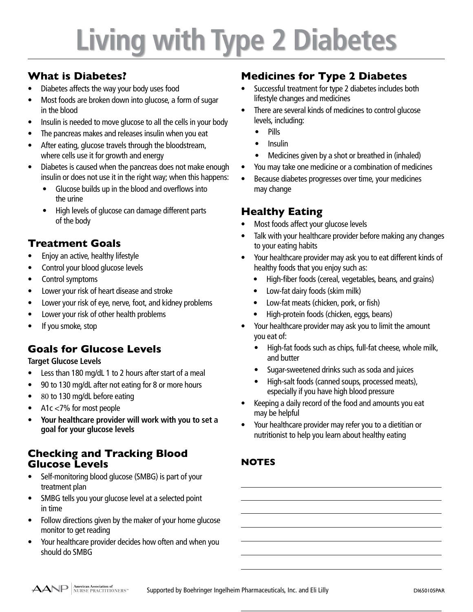# **Living with Type 2 Diabetes**

## **What is Diabetes?**

- Diabetes affects the way your body uses food
- Most foods are broken down into glucose, a form of sugar in the blood
- Insulin is needed to move glucose to all the cells in your body
- The pancreas makes and releases insulin when you eat
- After eating, glucose travels through the bloodstream, where cells use it for growth and energy
- Diabetes is caused when the pancreas does not make enough insulin or does not use it in the right way; when this happens:
	- Glucose builds up in the blood and overflows into the urine
	- High levels of glucose can damage different parts of the body

# **Treatment Goals**

- Enjoy an active, healthy lifestyle
- Control your blood glucose levels
- Control symptoms
- Lower your risk of heart disease and stroke
- Lower your risk of eye, nerve, foot, and kidney problems
- Lower your risk of other health problems
- If you smoke, stop

# **Goals for Glucose Levels**

### **Target Glucose Levels**

- **•** Less than 180 mg/dL 1 to 2 hours after start of a meal
- **•** 90 to 130 mg/dL after not eating for 8 or more hours
- **•** 80 to 130 mg/dL before eating
- **•** A1c <7% for most people
- **• Your healthcare provider will work with you to set a goal for your glucose levels**

### **Checking and Tracking Blood Glucose Levels**

- Self-monitoring blood glucose (SMBG) is part of your treatment plan
- SMBG tells you your glucose level at a selected point in time
- Follow directions given by the maker of your home glucose monitor to get reading
- Your healthcare provider decides how often and when you should do SMBG

## **Medicines for Type 2 Diabetes**

- Successful treatment for type 2 diabetes includes both lifestyle changes and medicines
- There are several kinds of medicines to control glucose levels, including:
	- Pills
	- Insulin
	- Medicines given by a shot or breathed in (inhaled)
- You may take one medicine or a combination of medicines
- Because diabetes progresses over time, your medicines may change

## **Healthy Eating**

- Most foods affect your glucose levels
- Talk with your healthcare provider before making any changes to your eating habits
- Your healthcare provider may ask you to eat different kinds of healthy foods that you enjoy such as:
	- High-fiber foods (cereal, vegetables, beans, and grains)
	- Low-fat dairy foods (skim milk)
	- Low-fat meats (chicken, pork, or fish)
	- High-protein foods (chicken, eggs, beans)
- Your healthcare provider may ask you to limit the amount you eat of:
	- High-fat foods such as chips, full-fat cheese, whole milk, and butter
	- Sugar-sweetened drinks such as soda and juices
	- High-salt foods (canned soups, processed meats), especially if you have high blood pressure
- Keeping a daily record of the food and amounts you eat may be helpful
- Your healthcare provider may refer you to a dietitian or nutritionist to help you learn about healthy eating

### **NOTES**